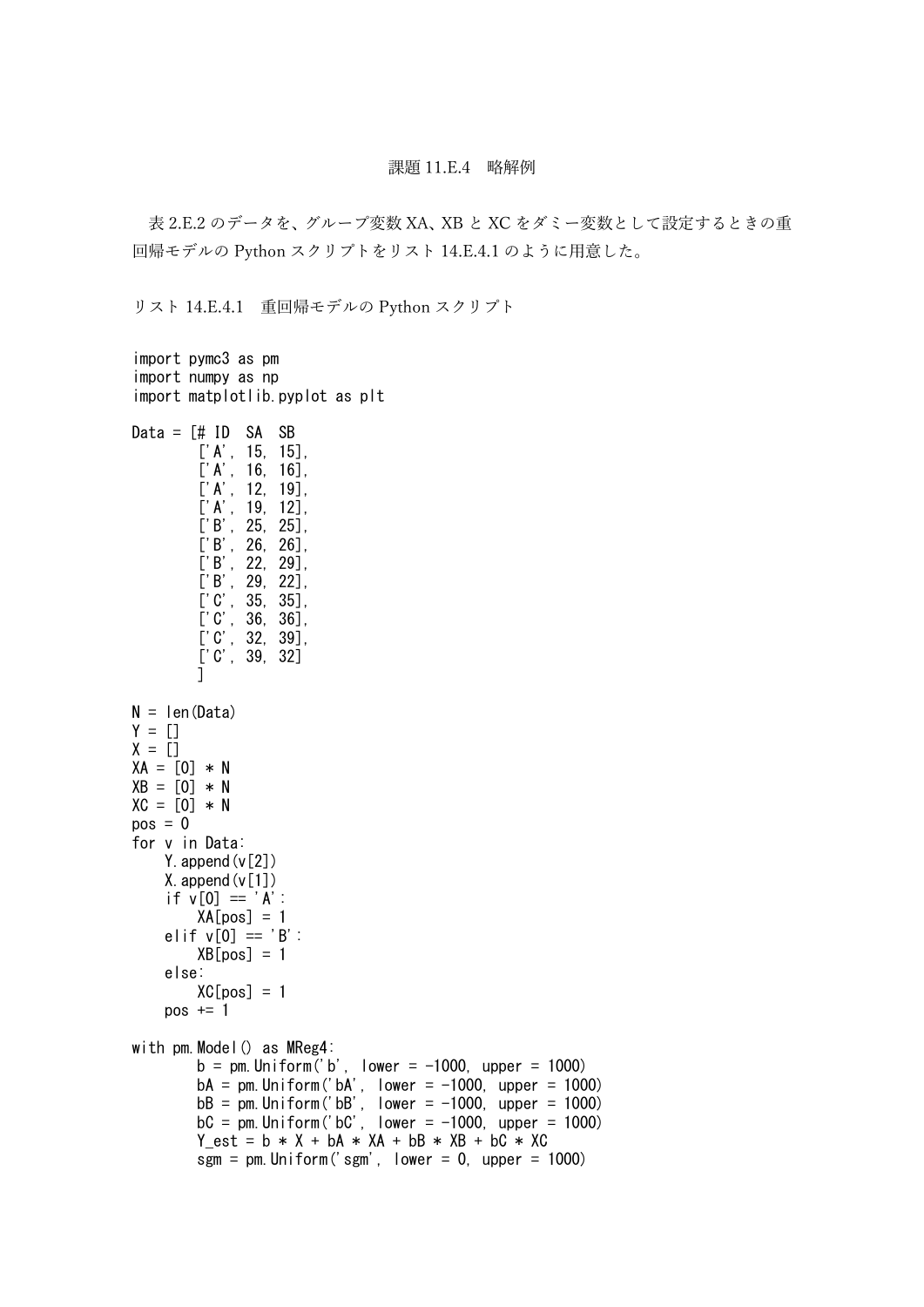## 課題 11.E.4 略解例

表 2.E.2 のデータを、グループ変数 XA、XB と XC をダミー変数として設定するときの重 回帰モデルの Python スクリプトをリスト 14.E.4.1 のように用意した。

リスト 14.E.4.1 重回帰モデルの Python スクリプト

```
import pymc3 as pm
import numpy as np
import matplotlib.pyplot as plt
Data = [# ID SA SB
         ['A', 15, 15],
         ['A', 16, 16],
         ['A', 12, 19],['A', 19, 12],
         ['B', 25, 25],
         ['B', 26, 26],
        ['B', 22, 29],
         ['B', 29, 22],
         ['C', 35, 35],
         ['C', 36, 36],
         ['C', 32, 39],
        ['C', 39, 32]
        ]
N = len(Data)Y = [1]X = \overline{11}XA = [0] * NXB = [0] * NXC = [0] * Npos = 0for v in Data:
    Y. append (v[2])
    X. append (v[1])if \overline{v[0]} == 'A':XA[pos] = 1elif v[0] = 'B':
        XB[pos] = 1else:
        XC[pos] = 1pos += 1with pm.Model() as MReg4:
        b = pm. Uniform ('b', lower = -1000, upper = 1000)
        bA = pm. Uniform ('bA', lower = -1000, upper = 1000)
         bB = pm. Uniform('bB', lower = -1000, upper = 1000)
         bC = pm. Uniform('bC', lower = -1000, upper = 1000)
        Y_{\text{est}} = b * X + bA * XA + bB * XB + bC * XCsgm = pm. Uniform ('sgm', lower = 0, upper = 1000)
```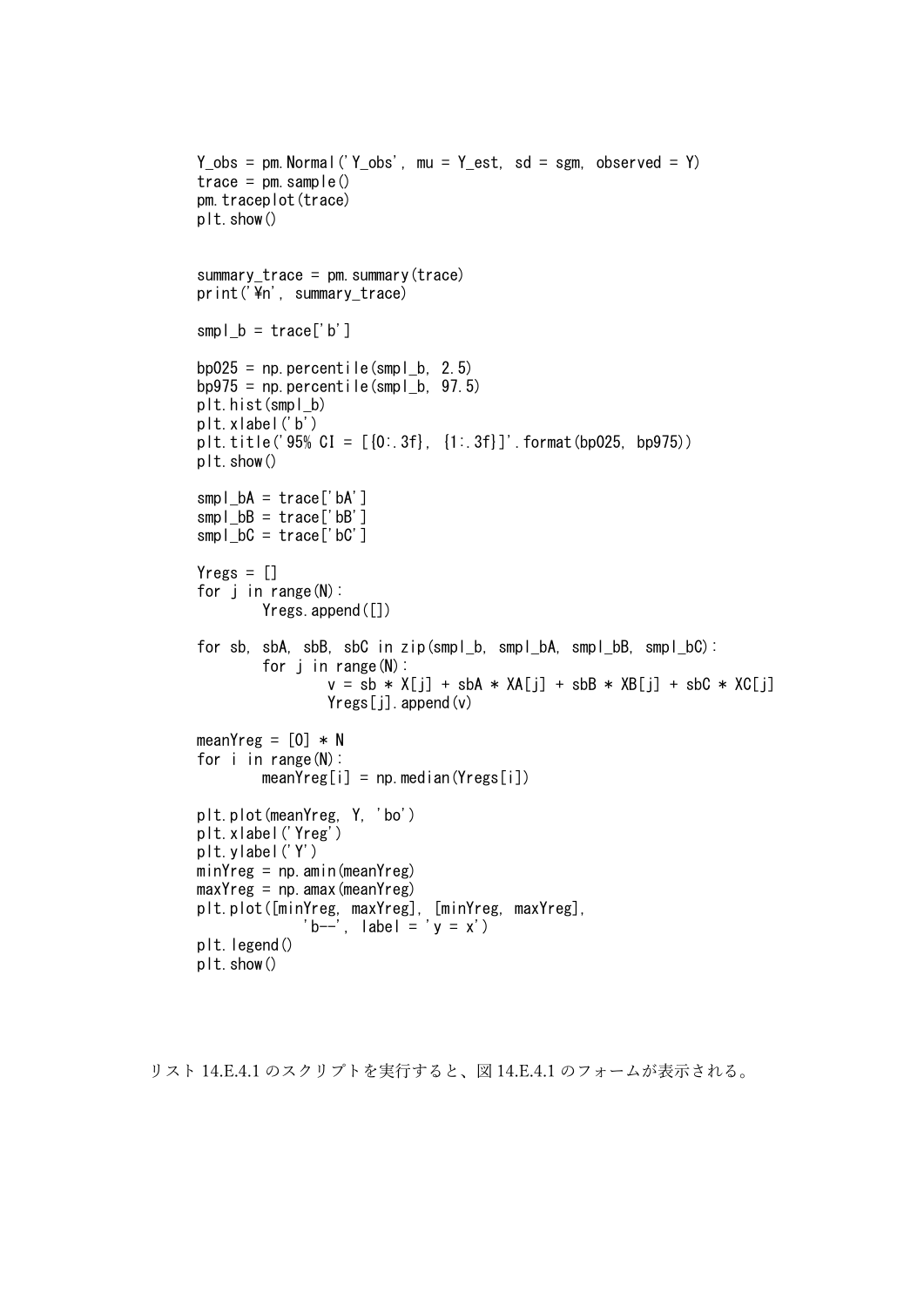```
Y obs = pm. Normal('Y obs', mu = Y est, sd = sgm, observed = Y)
trace = pm. sample()
pm.traceplot(trace)
plt.show()
summary trace = pm. summary (trace)
print('\\n', summary_trace)
smpl\_b = \text{trace}['b']bpp025 = np.percentile(smpl b. 2.5)
bp975 = np. percentile(smpl b. 97.5)
plt.hist(smpl_b)
plt.xlabel('b')
plt.title('95% CI = [0:3f], [1:3f]' format(bp025, bp975))
plt.show()
smpl\_bA = trace['bA']smpl_bB = trace['bB']smpl bC = \text{trace}['bC']Yregs = []for i in range(N):
        Yregs.append([])
for sb, sbA, sbB, sbC in zip(smpl_b, smpl_bA, smpl_bB, smpl_bC):
        for \mathbf{j} in range (N):
                 v = sb * X[j] + sbA * XA[j] + sbB * XB[j] + sbC * XC[j]Yregs[j].append(v)
meanYreg = [0] * N
for i in range(N):
        meanYreg[i] = np. median(Yreg[i])
plt.plot(meanYreg, Y, 'bo')
plt.xlabel('Yreg')
plt.ylabel('Y')
minYreg = np. amin(meanYreg)maxYreg = np. amax (meanYreg)
plt.plot([minYreg, maxYreg], [minYreg, maxYreg],
             'b--', |abel = 'y = x'plt.legend()
plt.show()
```

```
リスト 14.E.4.1 のスクリプトを実行すると、図 14.E.4.1 のフォームが表示される。
```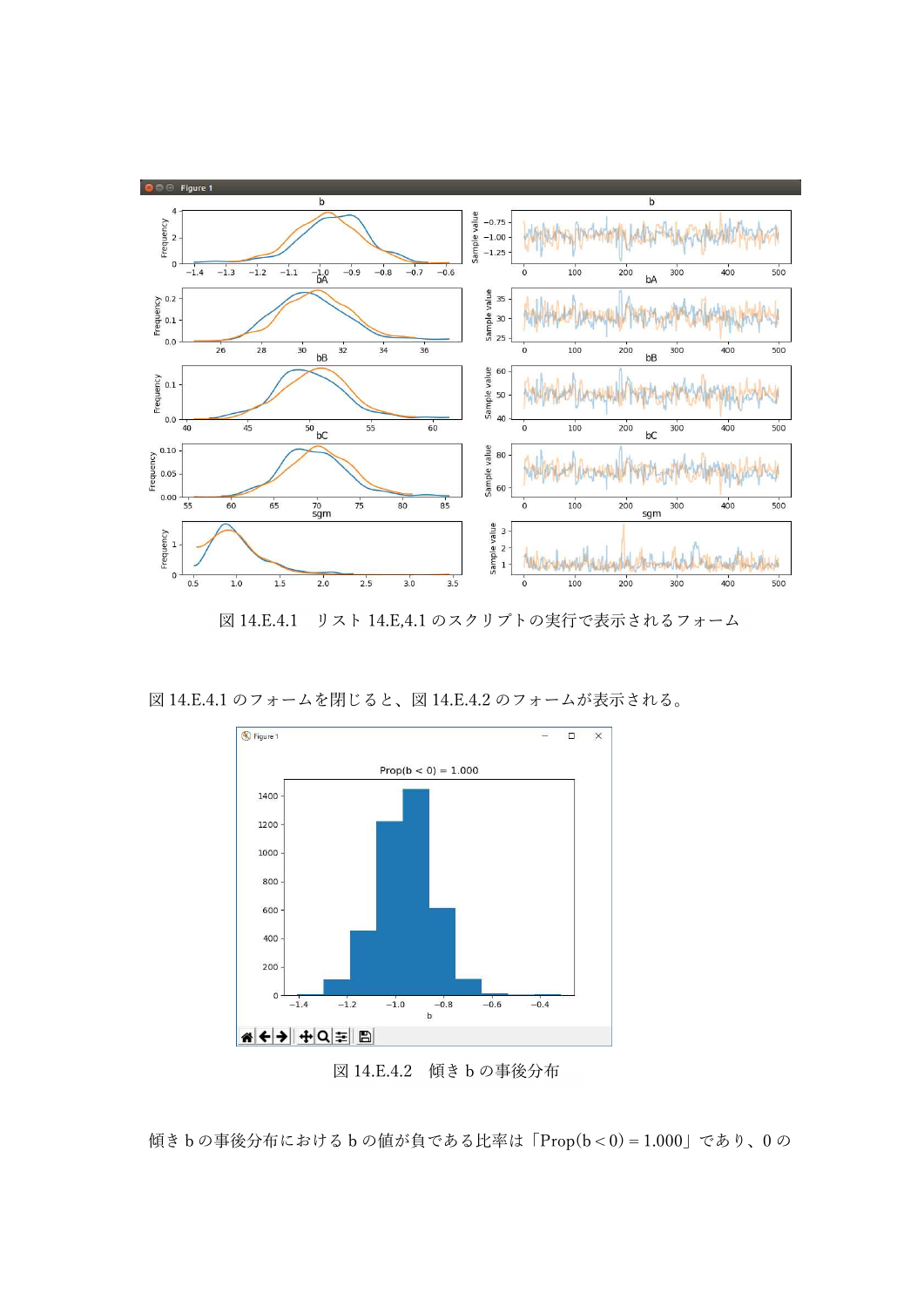

図 14.E.4.1 リスト 14.E,4.1 のスクリプトの実行で表示されるフォーム

図 14.E.4.1 のフォームを閉じると、図 14.E.4.2 のフォームが表示される。



図 14.E.4.2 傾き b の事後分布

```
傾きbの事後分布における b の値が負である比率は「Prop(b < 0) = 1.000」であり、0 の
```